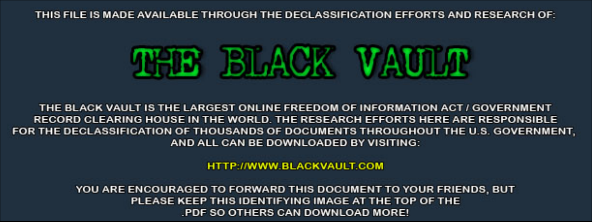THIS FILE IS MADE AVAILABLE THROUGH THE DECLASSIFICATION EFFORTS AND RESEARCH OF:



THE BLACK VAULT IS THE LARGEST ONLINE FREEDOM OF INFORMATION ACT / GOVERNMENT RECORD CLEARING HOUSE IN THE WORLD. THE RESEARCH EFFORTS HERE ARE RESPONSIBLE FOR THE DECLASSIFICATION OF THOUSANDS OF DOCUMENTS THROUGHOUT THE U.S. GOVERNMENT, AND ALL CAN BE DOWNLOADED BY VISITING:

**HTTP://WWW.BLACKVAULT.COM** 

YOU ARE ENCOURAGED TO FORWARD THIS DOCUMENT TO YOUR FRIENDS, BUT PLEASE KEEP THIS IDENTIFYING IMAGE AT THE TOP OF THE PDF SO OTHERS CAN DOWNLOAD MORE!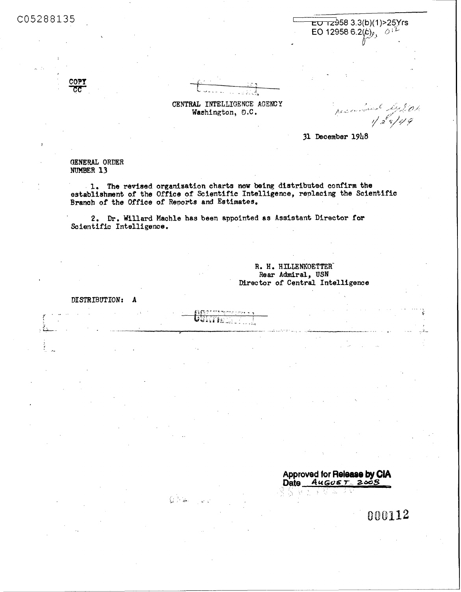C05288135



COPY

CENTRAL INTELLIGENCE AGENCY Washington, D.C.

parameters 4201

31 December 1948

GENERAL ORDER NUMBER 13

1. The revised organization charts now being distributed confirm the establishment of the Office of Scientific Intelligence, replacing the Scientific Branch of the Office of Reports and Estimates.

2. Dr. Willard Machle has been appointed as Assistant Director for Scientific Intelligence.

U. TI

 $C > \infty$ 

R. H. HILLENKOETTER Rear Admiral, USN Director of Central Intelligence

DISTRIBUTION: A

> Approved for Release by CIA<br>Date 4uGus Texts Ğ.

> > 000112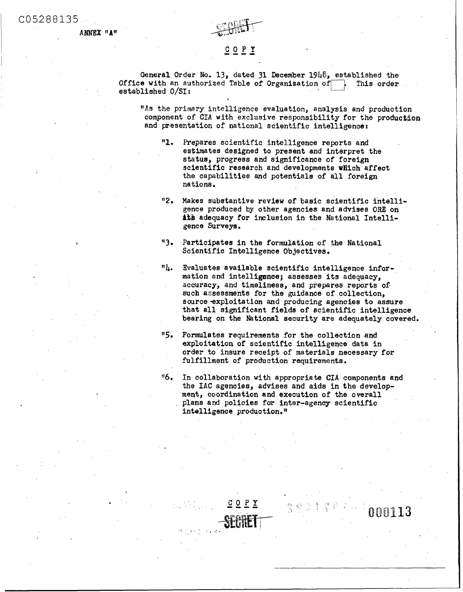**ANNEX "A"** 

*I* 

,



# ---- **COPY**

General Order No. 13, dated 31 December 1948, established the<br>e with an authorized Table of Organization of **Film**, This order Office with an authorized Table of Organization of  $\Box$ established **O/SI** :

**I1As** the primary intelligence evaluation, analysis and production component of CIA with exclusive responsibility for the production and presentation of national scientific intelligence:

- $"1"$ Prepares scientific intelligence reports and estimates designed to present and interpret the status, progress and significance of foreign scientific research and developments which affect the capabilities **and** potentials of all foreign nations .
- *'12*  Makes substantive review of basic scientific intelligence produced **by** other agencies and advises ORE on **at's** adequacy for inclusion in the National Intelligence Surveys.
- **"3**  Participates in the formulation of the National Scientific Intelligence Objectives.
- $n_{\mu_*}$ Evaluates available scientific intelligence information and intelligsnce; assesses **its** adequacy, accuracy, and timeliness, and prepares reports of such assessments for the guidance of collection, source exploitation and producing agencies to assure that all significant fields of scientific intelligence bearing on the National security are adequately covered.
- **115.**  Formulates requirements for the collection and exploitation of scientific intelligence data in order to insure receipt of materials necessary for fulfillment of production requirements.
- "6. In collaboration with appropriate CIA components and the IAC agencies, advises and aids in the development, coordination and execution of the overall plans and policies for inter-agency scientific intelligence production."

그렇다 고

000113

 $C O P Y$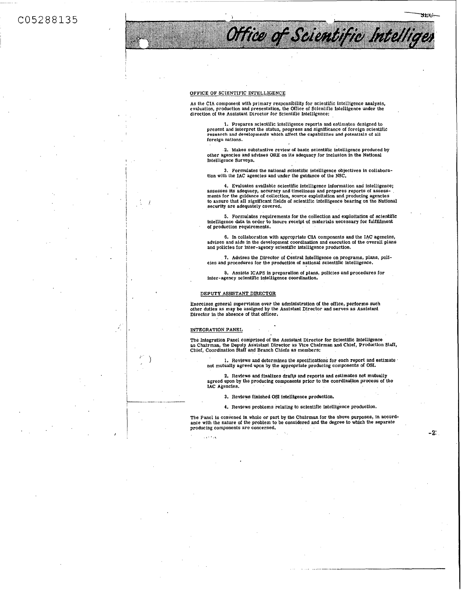C05288135

I  $\cdot$   $\cdot$  ,  $\cdot$ **I** s'

> I I 1 I

i  $\left| \cdot \right|$ 

 $\sum_{i=1}^{n}$ 

# OFFICE OF SCIENTIFIC INTELLIGENCE

As the CIA component with primary responsibility for sclentific intelligence analysis, evaluation, production and presentatlon, the Office **of** Scientific Intelligence under the direction **01** the Assistant Director for Scientific Intelligence:

1. Prepares scientific intelligence reports and estimates designed to<br>present and interpret the status, progress and significance of foreign scientific<br>research and developments which affect the capabilities and potentials foreign nations.

Office of Seientific Intelligen

 $3 + 1$ 

**2.** Makes substantive review **d** basic scientific intelligence produced by other agencies and advlses **ORE** on its adequacy for inclusion In the National Intelligence Surveys.

3. Formulates the national sclentific intelligence objectives in collaboration with the IAC agencies and under the guidance of the NSC.

**4.** Evaluates available scientific intelligence information and Intelligence; assesses its adequacy, accuracy and timeliness and prepares reports of assess-<br>ments for the guidance of collection, source exploitation and producing agencies<br>to assure that all significant fields of scientific intelligen security are adequately covered.

**5.** Formulates requirements for the collection and exploitation of sctentific intelligence data in order to insure receipt of materials necessary for fulfillment of production requlroments.

6. In collaboration with appropriate CIA components and the IAC agencies, advises and aids in the development coordination and execution **of** the overall plans and policies for inter-agency scientific intelligence production.

cies and procedures for the production *of* national scientific intelligence. **7.** Advises the Director **of** Central Intelligence on programs, plans, poli-

inter-agency scientific intelligence coordination. **8.** Assists ICAPS in preparation of plans, policies and procedures for

### DEPUTY ASSISTANT DIRECTOR

Exercises general supervision over the administration **of** the office, performs. such other duties as may be assigned by the Assistant Director and serves as Assistant Director in the absence **of** that officer.

### INTEGRATION PANEL

The Integration Panel comprised of the Assistant Director for Scientific Intelligence<br>as Chairman, the Deputy Assistant Director as Vice Chairman and Chief, Production Staff,<br>Chief, Coordination Staff and Branch Chiefs as

**1.** Reviews and determines the specifications for each report and estimate not mutually agreed upon by the appropriate producing components *of* OSI.

**2.** Revlews and finalizes draftp and reports and estimates not mutually agreed upon **by** tlie producing components prior to the coordination process of the IAC Agencies.

3. Revlews finished **OS1** intelligence production.

**4.** Reviews problems relating to scientific intelligence production.

The Panel is convened in whole or part by the Chairman for the above purposes, in accord- ance with the nature **of** the problem to be considered and the degree to which the separate producing components are concerned. - **2:** I ,\